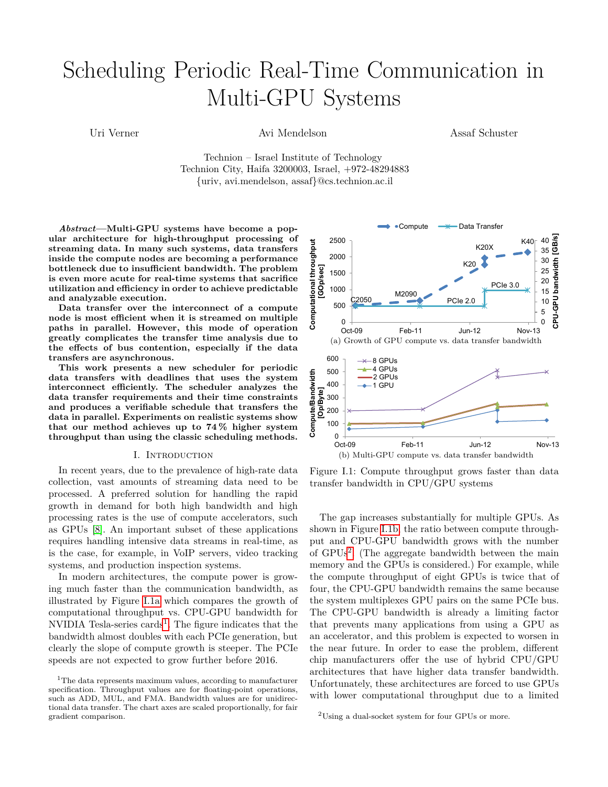# Scheduling Periodic Real-Time Communication in Multi-GPU Systems

Uri Verner Avi Mendelson

Assaf Schuster

Technion – Israel Institute of Technology Technion City, Haifa 3200003, Israel, +972-48294883 {uriv, avi.mendelson, assaf}@cs.technion.ac.il

*Abstract***—Multi-GPU systems have become a popular architecture for high-throughput processing of streaming data. In many such systems, data transfers inside the compute nodes are becoming a performance bottleneck due to insufficient bandwidth. The problem is even more acute for real-time systems that sacrifice utilization and efficiency in order to achieve predictable and analyzable execution.**

**Data transfer over the interconnect of a compute node is most efficient when it is streamed on multiple paths in parallel. However, this mode of operation greatly complicates the transfer time analysis due to the effects of bus contention, especially if the data transfers are asynchronous.**

**This work presents a new scheduler for periodic data transfers with deadlines that uses the system interconnect efficiently. The scheduler analyzes the data transfer requirements and their time constraints and produces a verifiable schedule that transfers the data in parallel. Experiments on realistic systems show that our method achieves up to 74 % higher system throughput than using the classic scheduling methods.**

#### I. Introduction

In recent years, due to the prevalence of high-rate data collection, vast amounts of streaming data need to be processed. A preferred solution for handling the rapid growth in demand for both high bandwidth and high processing rates is the use of compute accelerators, such as GPUs [\[8\]](#page-7-0). An important subset of these applications requires handling intensive data streams in real-time, as is the case, for example, in VoIP servers, video tracking systems, and production inspection systems.

In modern architectures, the compute power is growing much faster than the communication bandwidth, as illustrated by Figure [I.1a](#page-0-0) which compares the growth of computational throughput vs. CPU-GPU bandwidth for NVIDIA Tesla-series  $\text{cards}^1$  $\text{cards}^1$ . The figure indicates that the bandwidth almost doubles with each PCIe generation, but clearly the slope of compute growth is steeper. The PCIe speeds are not expected to grow further before 2016.

<span id="page-0-0"></span>

<span id="page-0-2"></span>Figure I.1: Compute throughput grows faster than data transfer bandwidth in CPU/GPU systems

The gap increases substantially for multiple GPUs. As shown in Figure [I.1b,](#page-0-2) the ratio between compute throughput and CPU-GPU bandwidth grows with the number of GPUs[2](#page-0-3) . (The aggregate bandwidth between the main memory and the GPUs is considered.) For example, while the compute throughput of eight GPUs is twice that of four, the CPU-GPU bandwidth remains the same because the system multiplexes GPU pairs on the same PCIe bus. The CPU-GPU bandwidth is already a limiting factor that prevents many applications from using a GPU as an accelerator, and this problem is expected to worsen in the near future. In order to ease the problem, different chip manufacturers offer the use of hybrid CPU/GPU architectures that have higher data transfer bandwidth. Unfortunately, these architectures are forced to use GPUs with lower computational throughput due to a limited

<span id="page-0-1"></span><sup>&</sup>lt;sup>1</sup>The data represents maximum values, according to manufacturer specification. Throughput values are for floating-point operations, such as ADD, MUL, and FMA. Bandwidth values are for unidirectional data transfer. The chart axes are scaled proportionally, for fair gradient comparison.

<span id="page-0-3"></span><sup>2</sup>Using a dual-socket system for four GPUs or more.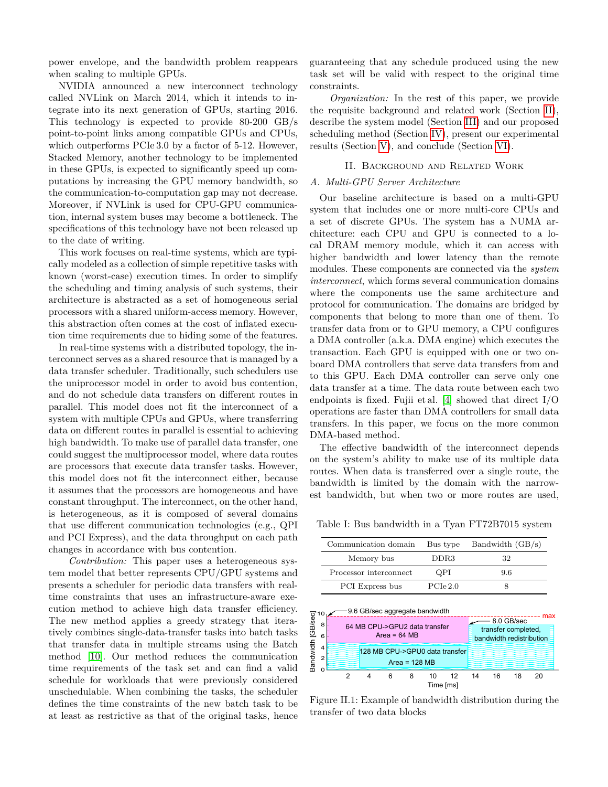power envelope, and the bandwidth problem reappears when scaling to multiple GPUs.

NVIDIA announced a new interconnect technology called NVLink on March 2014, which it intends to integrate into its next generation of GPUs, starting 2016. This technology is expected to provide 80-200 GB/s point-to-point links among compatible GPUs and CPUs, which outperforms PCIe 3.0 by a factor of 5-12. However, Stacked Memory, another technology to be implemented in these GPUs, is expected to significantly speed up computations by increasing the GPU memory bandwidth, so the communication-to-computation gap may not decrease. Moreover, if NVLink is used for CPU-GPU communication, internal system buses may become a bottleneck. The specifications of this technology have not been released up to the date of writing.

This work focuses on real-time systems, which are typically modeled as a collection of simple repetitive tasks with known (worst-case) execution times. In order to simplify the scheduling and timing analysis of such systems, their architecture is abstracted as a set of homogeneous serial processors with a shared uniform-access memory. However, this abstraction often comes at the cost of inflated execution time requirements due to hiding some of the features.

In real-time systems with a distributed topology, the interconnect serves as a shared resource that is managed by a data transfer scheduler. Traditionally, such schedulers use the uniprocessor model in order to avoid bus contention, and do not schedule data transfers on different routes in parallel. This model does not fit the interconnect of a system with multiple CPUs and GPUs, where transferring data on different routes in parallel is essential to achieving high bandwidth. To make use of parallel data transfer, one could suggest the multiprocessor model, where data routes are processors that execute data transfer tasks. However, this model does not fit the interconnect either, because it assumes that the processors are homogeneous and have constant throughput. The interconnect, on the other hand, is heterogeneous, as it is composed of several domains that use different communication technologies (e.g., QPI and PCI Express), and the data throughput on each path changes in accordance with bus contention.

*Contribution:* This paper uses a heterogeneous system model that better represents CPU/GPU systems and presents a scheduler for periodic data transfers with realtime constraints that uses an infrastructure-aware execution method to achieve high data transfer efficiency. The new method applies a greedy strategy that iteratively combines single-data-transfer tasks into batch tasks that transfer data in multiple streams using the Batch method [\[10\]](#page-7-1). Our method reduces the communication time requirements of the task set and can find a valid schedule for workloads that were previously considered unschedulable. When combining the tasks, the scheduler defines the time constraints of the new batch task to be at least as restrictive as that of the original tasks, hence

guaranteeing that any schedule produced using the new task set will be valid with respect to the original time constraints.

*Organization:* In the rest of this paper, we provide the requisite background and related work (Section [II\)](#page-1-0), describe the system model (Section [III\)](#page-3-0) and our proposed scheduling method (Section [IV\)](#page-3-1), present our experimental results (Section [V\)](#page-6-0), and conclude (Section [VI\)](#page-7-2).

# II. Background and Related Work

# <span id="page-1-3"></span><span id="page-1-0"></span>*A. Multi-GPU Server Architecture*

Our baseline architecture is based on a multi-GPU system that includes one or more multi-core CPUs and a set of discrete GPUs. The system has a NUMA architecture: each CPU and GPU is connected to a local DRAM memory module, which it can access with higher bandwidth and lower latency than the remote modules. These components are connected via the *system interconnect*, which forms several communication domains where the components use the same architecture and protocol for communication. The domains are bridged by components that belong to more than one of them. To transfer data from or to GPU memory, a CPU configures a DMA controller (a.k.a. DMA engine) which executes the transaction. Each GPU is equipped with one or two onboard DMA controllers that serve data transfers from and to this GPU. Each DMA controller can serve only one data transfer at a time. The data route between each two endpoints is fixed. Fujii et al. [\[4\]](#page-7-3) showed that direct  $I/O$ operations are faster than DMA controllers for small data transfers. In this paper, we focus on the more common DMA-based method.

The effective bandwidth of the interconnect depends on the system's ability to make use of its multiple data routes. When data is transferred over a single route, the bandwidth is limited by the domain with the narrowest bandwidth, but when two or more routes are used,

<span id="page-1-1"></span>Table I: Bus bandwidth in a Tyan FT72B7015 system

| Communication domain   | Bus type | Bandwidth $(GB/s)$ |
|------------------------|----------|--------------------|
| Memory bus             | DDR3     | 32                 |
| Processor interconnect | OPI      | 9.6                |
| PCI Express bus        | PCIe 2.0 |                    |

<span id="page-1-2"></span>

Figure II.1: Example of bandwidth distribution during the transfer of two data blocks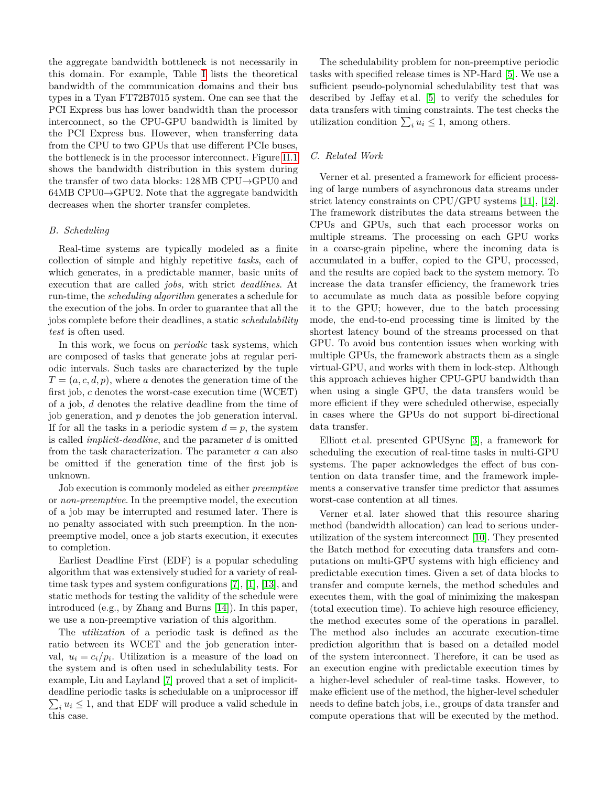the aggregate bandwidth bottleneck is not necessarily in this domain. For example, Table [I](#page-1-1) lists the theoretical bandwidth of the communication domains and their bus types in a Tyan FT72B7015 system. One can see that the PCI Express bus has lower bandwidth than the processor interconnect, so the CPU-GPU bandwidth is limited by the PCI Express bus. However, when transferring data from the CPU to two GPUs that use different PCIe buses, the bottleneck is in the processor interconnect. Figure [II.1](#page-1-2) shows the bandwidth distribution in this system during the transfer of two data blocks: 128 MB CPU→GPU0 and  $64MB$  CPU0 $\rightarrow$ GPU2. Note that the aggregate bandwidth decreases when the shorter transfer completes.

# <span id="page-2-0"></span>*B. Scheduling*

Real-time systems are typically modeled as a finite collection of simple and highly repetitive *tasks*, each of which generates, in a predictable manner, basic units of execution that are called *jobs,* with strict *deadlines*. At run-time, the *scheduling algorithm* generates a schedule for the execution of the jobs. In order to guarantee that all the jobs complete before their deadlines, a static *schedulability test* is often used.

In this work, we focus on *periodic* task systems, which are composed of tasks that generate jobs at regular periodic intervals. Such tasks are characterized by the tuple  $T = (a, c, d, p)$ , where *a* denotes the generation time of the first job, *c* denotes the worst-case execution time (WCET) of a job, *d* denotes the relative deadline from the time of job generation, and *p* denotes the job generation interval. If for all the tasks in a periodic system  $d = p$ , the system is called *implicit-deadline*, and the parameter *d* is omitted from the task characterization. The parameter *a* can also be omitted if the generation time of the first job is unknown.

Job execution is commonly modeled as either *preemptive* or *non-preemptive*. In the preemptive model, the execution of a job may be interrupted and resumed later. There is no penalty associated with such preemption. In the nonpreemptive model, once a job starts execution, it executes to completion.

Earliest Deadline First (EDF) is a popular scheduling algorithm that was extensively studied for a variety of realtime task types and system configurations [\[7\]](#page-7-4), [\[1\]](#page-7-5), [\[13\]](#page-7-6), and static methods for testing the validity of the schedule were introduced (e.g., by Zhang and Burns [\[14\]](#page-7-7)). In this paper, we use a non-preemptive variation of this algorithm.

The *utilization* of a periodic task is defined as the ratio between its WCET and the job generation interval,  $u_i = c_i/p_i$ . Utilization is a measure of the load on the system and is often used in schedulability tests. For example, Liu and Layland [\[7\]](#page-7-4) proved that a set of implicitdeadline periodic tasks is schedulable on a uniprocessor iff  $\sum_i u_i \leq 1$ , and that EDF will produce a valid schedule in this case.

The schedulability problem for non-preemptive periodic tasks with specified release times is NP-Hard [\[5\]](#page-7-8). We use a sufficient pseudo-polynomial schedulability test that was described by Jeffay et al. [\[5\]](#page-7-8) to verify the schedules for data transfers with timing constraints. The test checks the utilization condition  $\sum_i u_i \leq 1$ , among others.

# *C. Related Work*

Verner et al. presented a framework for efficient processing of large numbers of asynchronous data streams under strict latency constraints on CPU/GPU systems [\[11\]](#page-7-9), [\[12\]](#page-7-10). The framework distributes the data streams between the CPUs and GPUs, such that each processor works on multiple streams. The processing on each GPU works in a coarse-grain pipeline, where the incoming data is accumulated in a buffer, copied to the GPU, processed, and the results are copied back to the system memory. To increase the data transfer efficiency, the framework tries to accumulate as much data as possible before copying it to the GPU; however, due to the batch processing mode, the end-to-end processing time is limited by the shortest latency bound of the streams processed on that GPU. To avoid bus contention issues when working with multiple GPUs, the framework abstracts them as a single virtual-GPU, and works with them in lock-step. Although this approach achieves higher CPU-GPU bandwidth than when using a single GPU, the data transfers would be more efficient if they were scheduled otherwise, especially in cases where the GPUs do not support bi-directional data transfer.

Elliott et al. presented GPUSync [\[3\]](#page-7-11), a framework for scheduling the execution of real-time tasks in multi-GPU systems. The paper acknowledges the effect of bus contention on data transfer time, and the framework implements a conservative transfer time predictor that assumes worst-case contention at all times.

Verner et al. later showed that this resource sharing method (bandwidth allocation) can lead to serious underutilization of the system interconnect [\[10\]](#page-7-1). They presented the Batch method for executing data transfers and computations on multi-GPU systems with high efficiency and predictable execution times. Given a set of data blocks to transfer and compute kernels, the method schedules and executes them, with the goal of minimizing the makespan (total execution time). To achieve high resource efficiency, the method executes some of the operations in parallel. The method also includes an accurate execution-time prediction algorithm that is based on a detailed model of the system interconnect. Therefore, it can be used as an execution engine with predictable execution times by a higher-level scheduler of real-time tasks. However, to make efficient use of the method, the higher-level scheduler needs to define batch jobs, i.e., groups of data transfer and compute operations that will be executed by the method.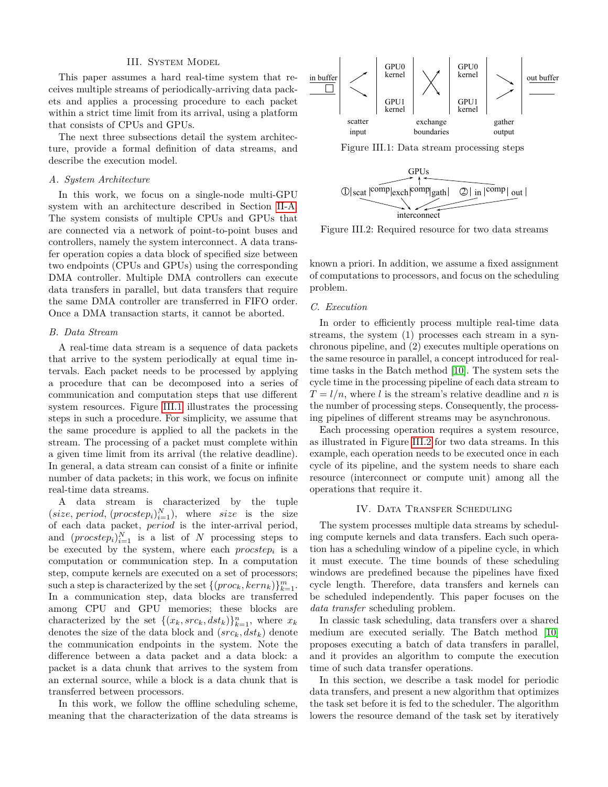#### III. System Model

<span id="page-3-0"></span>This paper assumes a hard real-time system that receives multiple streams of periodically-arriving data packets and applies a processing procedure to each packet within a strict time limit from its arrival, using a platform that consists of CPUs and GPUs.

The next three subsections detail the system architecture, provide a formal definition of data streams, and describe the execution model.

# *A. System Architecture*

In this work, we focus on a single-node multi-GPU system with an architecture described in Section [II-A.](#page-1-3) The system consists of multiple CPUs and GPUs that are connected via a network of point-to-point buses and controllers, namely the system interconnect. A data transfer operation copies a data block of specified size between two endpoints (CPUs and GPUs) using the corresponding DMA controller. Multiple DMA controllers can execute data transfers in parallel, but data transfers that require the same DMA controller are transferred in FIFO order. Once a DMA transaction starts, it cannot be aborted.

# *B. Data Stream*

A real-time data stream is a sequence of data packets that arrive to the system periodically at equal time intervals. Each packet needs to be processed by applying a procedure that can be decomposed into a series of communication and computation steps that use different system resources. Figure [III.1](#page-3-2) illustrates the processing steps in such a procedure. For simplicity, we assume that the same procedure is applied to all the packets in the stream. The processing of a packet must complete within a given time limit from its arrival (the relative deadline). In general, a data stream can consist of a finite or infinite number of data packets; in this work, we focus on infinite real-time data streams.

A data stream is characterized by the tuple  $(size, period, (procstep<sub>i</sub>)<sup>N</sup><sub>i=1</sub>), where *size* is the size$ of each data packet, *period* is the inter-arrival period, and  $(procstep<sub>i</sub>)_{i=1}^N$  is a list of *N* processing steps to be executed by the system, where each *procstep<sup>i</sup>* is a computation or communication step. In a computation step, compute kernels are executed on a set of processors; such a step is characterized by the set  $\{(proc_k, kern_k)\}_{k=1}^m$ . In a communication step, data blocks are transferred among CPU and GPU memories; these blocks are characterized by the set  $\{(x_k, src_k, dst_k)\}_{k=1}^n$ , where  $x_k$ denotes the size of the data block and (*srck, dstk*) denote the communication endpoints in the system. Note the difference between a data packet and a data block: a packet is a data chunk that arrives to the system from an external source, while a block is a data chunk that is transferred between processors.

In this work, we follow the offline scheduling scheme, meaning that the characterization of the data streams is

<span id="page-3-2"></span>

<span id="page-3-3"></span>

Figure III.2: Required resource for two data streams

known a priori. In addition, we assume a fixed assignment of computations to processors, and focus on the scheduling problem.

## <span id="page-3-4"></span>*C. Execution*

In order to efficiently process multiple real-time data streams, the system (1) processes each stream in a synchronous pipeline, and (2) executes multiple operations on the same resource in parallel, a concept introduced for realtime tasks in the Batch method [\[10\]](#page-7-1). The system sets the cycle time in the processing pipeline of each data stream to  $T = l/n$ , where *l* is the stream's relative deadline and *n* is the number of processing steps. Consequently, the processing pipelines of different streams may be asynchronous.

Each processing operation requires a system resource, as illustrated in Figure [III.2](#page-3-3) for two data streams. In this example, each operation needs to be executed once in each cycle of its pipeline, and the system needs to share each resource (interconnect or compute unit) among all the operations that require it.

# IV. DATA TRANSFER SCHEDULING

<span id="page-3-1"></span>The system processes multiple data streams by scheduling compute kernels and data transfers. Each such operation has a scheduling window of a pipeline cycle, in which it must execute. The time bounds of these scheduling windows are predefined because the pipelines have fixed cycle length. Therefore, data transfers and kernels can be scheduled independently. This paper focuses on the *data transfer* scheduling problem.

In classic task scheduling, data transfers over a shared medium are executed serially. The Batch method [\[10\]](#page-7-1) proposes executing a batch of data transfers in parallel, and it provides an algorithm to compute the execution time of such data transfer operations.

In this section, we describe a task model for periodic data transfers, and present a new algorithm that optimizes the task set before it is fed to the scheduler. The algorithm lowers the resource demand of the task set by iteratively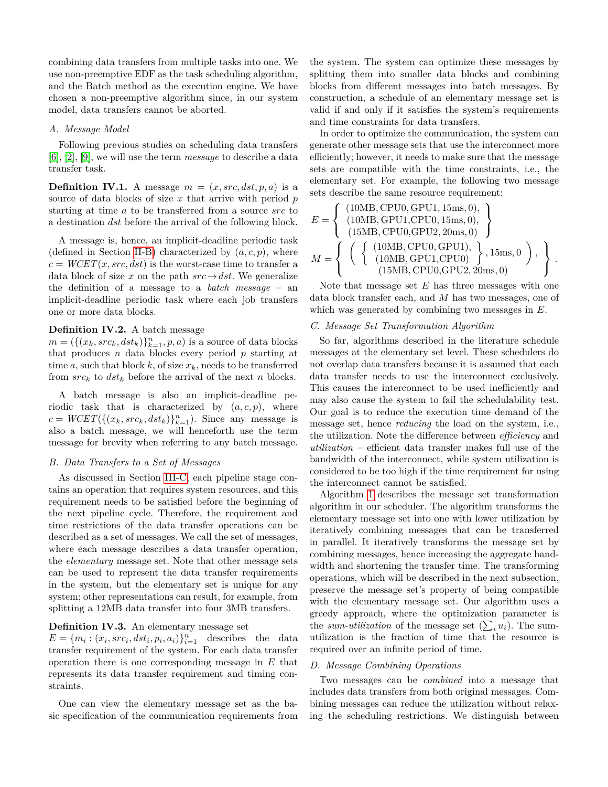combining data transfers from multiple tasks into one. We use non-preemptive EDF as the task scheduling algorithm, and the Batch method as the execution engine. We have chosen a non-preemptive algorithm since, in our system model, data transfers cannot be aborted.

# *A. Message Model*

Following previous studies on scheduling data transfers [\[6\]](#page-7-12), [\[2\]](#page-7-13), [\[9\]](#page-7-14), we will use the term *message* to describe a data transfer task.

**Definition IV.1.** A message  $m = (x, src, dst, p, a)$  is a source of data blocks of size *x* that arrive with period *p* starting at time *a* to be transferred from a source *src* to a destination *dst* before the arrival of the following block.

A message is, hence, an implicit-deadline periodic task (defined in Section [II-B\)](#page-2-0) characterized by  $(a, c, p)$ , where  $c = WCET(x, src, dst)$  is the worst-case time to transfer a data block of size *x* on the path  $src \rightarrow dst$ . We generalize the definition of a message to a *batch message* – an implicit-deadline periodic task where each job transfers one or more data blocks.

# **Definition IV.2.** A batch message

 $m = (\{(x_k, src_k, dst_k)\}_{k=1}^n, p, a)$  is a source of data blocks that produces *n* data blocks every period *p* starting at time  $a$ , such that block  $k$ , of size  $x_k$ , needs to be transferred from  $src_k$  to  $dst_k$  before the arrival of the next *n* blocks.

A batch message is also an implicit-deadline periodic task that is characterized by  $(a, c, p)$ , where  $c = WCET(\{(x_k, src_k, dst_k)\}_{k=1}^n)$ . Since any message is also a batch message, we will henceforth use the term message for brevity when referring to any batch message.

# *B. Data Transfers to a Set of Messages*

As discussed in Section [III-C,](#page-3-4) each pipeline stage contains an operation that requires system resources, and this requirement needs to be satisfied before the beginning of the next pipeline cycle. Therefore, the requirement and time restrictions of the data transfer operations can be described as a set of messages. We call the set of messages, where each message describes a data transfer operation, the *elementary* message set. Note that other message sets can be used to represent the data transfer requirements in the system, but the elementary set is unique for any system; other representations can result, for example, from splitting a 12MB data transfer into four 3MB transfers.

#### **Definition IV.3.** An elementary message set

 $E = \{m_i : (x_i, src_i, dst_i, p_i, a_i)\}_{i=1}^n$  describes the data transfer requirement of the system. For each data transfer operation there is one corresponding message in *E* that represents its data transfer requirement and timing constraints.

One can view the elementary message set as the basic specification of the communication requirements from the system. The system can optimize these messages by splitting them into smaller data blocks and combining blocks from different messages into batch messages. By construction, a schedule of an elementary message set is valid if and only if it satisfies the system's requirements and time constraints for data transfers.

In order to optimize the communication, the system can generate other message sets that use the interconnect more efficiently; however, it needs to make sure that the message sets are compatible with the time constraints, i.e., the elementary set. For example, the following two message sets describe the same resource requirement:

$$
E = \left\{ \begin{array}{c} (10MB, CPU0, GPU1, 15ms, 0), \\ (10MB, GPU1, CPU0, 15ms, 0), \\ (15MB, CPU0, GPU2, 20ms, 0) \end{array} \right\}
$$

$$
M = \left\{ \begin{array}{c} \left( \begin{array}{c} (10MB, CPU0, GPU1), \\ (10MB, CPU1, CPU0) \end{array} \right), 15ms, 0 \end{array} \right), \\ (15MB, CPU0, GPU2, 20ms, 0) \end{array} \right\}
$$

*.*

Note that message set *E* has three messages with one data block transfer each, and *M* has two messages, one of which was generated by combining two messages in *E*.

# *C. Message Set Transformation Algorithm*

So far, algorithms described in the literature schedule messages at the elementary set level. These schedulers do not overlap data transfers because it is assumed that each data transfer needs to use the interconnect exclusively. This causes the interconnect to be used inefficiently and may also cause the system to fail the schedulability test. Our goal is to reduce the execution time demand of the message set, hence *reducing* the load on the system, i.e., the utilization. Note the difference between *efficiency* and *utilization* – efficient data transfer makes full use of the bandwidth of the interconnect, while system utilization is considered to be too high if the time requirement for using the interconnect cannot be satisfied.

Algorithm [1](#page-5-0) describes the message set transformation algorithm in our scheduler. The algorithm transforms the elementary message set into one with lower utilization by iteratively combining messages that can be transferred in parallel. It iteratively transforms the message set by combining messages, hence increasing the aggregate bandwidth and shortening the transfer time. The transforming operations, which will be described in the next subsection, preserve the message set's property of being compatible with the elementary message set. Our algorithm uses a greedy approach, where the optimization parameter is the *sum-utilization* of the message set  $(\sum_i u_i)$ . The sumutilization is the fraction of time that the resource is required over an infinite period of time.

## *D. Message Combining Operations*

Two messages can be *combined* into a message that includes data transfers from both original messages. Combining messages can reduce the utilization without relaxing the scheduling restrictions. We distinguish between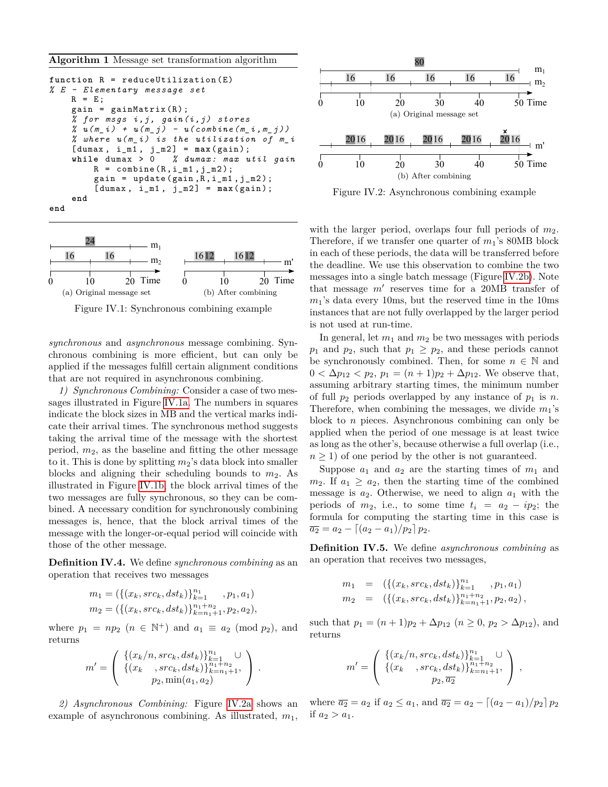<span id="page-5-0"></span>**Algorithm 1** Message set transformation algorithm

```
function R = reduceUtilization (E)% E - Elementary message set
    R = E;
    gain = gainMatrix(R);% for msgs i ,j , gain (i , j ) stores
      u(m_i) + u(m_j) - u(combine(m_i, m_j))% where u ( m_i ) is the utilization of m_i
    [{\text{dumax}} , i_m1 , j_m2] = \max({\text{gain}}) ;while dumax > 0 % dumax : max util gain
         R = combine (R, i_m1, j_m2);
         gain = update(gain, R, i_m1, j_m2);[ dumax , i_m1 , j_m2 ] = max( gain ) ;
    end
end
```
<span id="page-5-1"></span>

<span id="page-5-2"></span>Figure IV.1: Synchronous combining example

*synchronous* and *asynchronous* message combining. Synchronous combining is more efficient, but can only be applied if the messages fulfill certain alignment conditions that are not required in asynchronous combining.

*1) Synchronous Combining:* Consider a case of two messages illustrated in Figure [IV.1a.](#page-5-1) The numbers in squares indicate the block sizes in MB and the vertical marks indicate their arrival times. The synchronous method suggests taking the arrival time of the message with the shortest period,  $m_2$ , as the baseline and fitting the other message to it. This is done by splitting  $m_2$ 's data block into smaller blocks and aligning their scheduling bounds to  $m_2$ . As illustrated in Figure [IV.1b,](#page-5-2) the block arrival times of the two messages are fully synchronous, so they can be combined. A necessary condition for synchronously combining messages is, hence, that the block arrival times of the message with the longer-or-equal period will coincide with those of the other message.

**Definition IV.4.** We define *synchronous combining* as an operation that receives two messages

$$
m_1 = (\{(x_k, src_k, dst_k)\}_{k=1}^{n_1}, p_1, a_1)
$$
  
\n
$$
m_2 = (\{(x_k, src_k, dst_k)\}_{k=n_1+1}^{n_1+n_2}, p_2, a_2),
$$

where  $p_1 = np_2$   $(n \in \mathbb{N}^+)$  and  $a_1 \equiv a_2 \pmod{p_2}$ , and returns

$$
m' = \left( \begin{array}{c} \{(x_k/n, src_k, dst_k)\}_{k=1}^{n_1} \cup \\ \{(x_k-, src_k, dst_k)\}_{k=n_1+1}^{n_1+n_2}, \\ p_2, \min(a_1, a_2) \end{array} \right).
$$

*2) Asynchronous Combining:* Figure [IV.2a](#page-5-3) shows an example of asynchronous combining. As illustrated, *m*1,

<span id="page-5-4"></span><span id="page-5-3"></span>

Figure IV.2: Asynchronous combining example

with the larger period, overlaps four full periods of  $m_2$ . Therefore, if we transfer one quarter of  $m_1$ 's 80MB block in each of these periods, the data will be transferred before the deadline. We use this observation to combine the two messages into a single batch message (Figure [IV.2b\)](#page-5-4). Note that message  $m'$  reserves time for a 20MB transfer of  $m_1$ 's data every 10ms, but the reserved time in the 10ms instances that are not fully overlapped by the larger period is not used at run-time.

In general, let  $m_1$  and  $m_2$  be two messages with periods  $p_1$  and  $p_2$ , such that  $p_1 \geq p_2$ , and these periods cannot be synchronously combined. Then, for some  $n \in \mathbb{N}$  and  $0 < \Delta p_{12} < p_2, p_1 = (n+1)p_2 + \Delta p_{12}$ . We observe that, assuming arbitrary starting times, the minimum number of full  $p_2$  periods overlapped by any instance of  $p_1$  is  $n$ . Therefore, when combining the messages, we divide  $m_1$ 's block to *n* pieces. Asynchronous combining can only be applied when the period of one message is at least twice as long as the other's, because otherwise a full overlap (i.e.,  $n \geq 1$  of one period by the other is not guaranteed.

Suppose  $a_1$  and  $a_2$  are the starting times of  $m_1$  and  $m_2$ . If  $a_1 \geq a_2$ , then the starting time of the combined message is  $a_2$ . Otherwise, we need to align  $a_1$  with the periods of  $m_2$ , i.e., to some time  $t_i = a_2 - ip_2$ ; the formula for computing the starting time in this case is  $\overline{a_2} = a_2 - \left[ (a_2 - a_1)/p_2 \right] p_2.$ 

**Definition IV.5.** We define *asynchronous combining* as an operation that receives two messages,

$$
m_1 = (\{(x_k, src_k, dst_k)\}_{k=1}^{n_1}, p_1, a_1)
$$
  
\n
$$
m_2 = (\{(x_k, src_k, dst_k)\}_{k=n_1+1}^{n_1+n_2}, p_2, a_2),
$$

such that  $p_1 = (n+1)p_2 + \Delta p_{12}$   $(n \geq 0, p_2 > \Delta p_{12})$ , and returns

$$
m' = \left( \begin{array}{c} \{ (x_k/n, src_k, dst_k) \}_{k=1}^{n_1} \cup \\ \{ (x_k-, src_k, dst_k) \}_{k=n_1+1}^{n_1+n_2}, \\ p_2, \overline{a_2} \end{array} \right),
$$

where  $\overline{a_2} = a_2$  if  $a_2 \le a_1$ , and  $\overline{a_2} = a_2 - [(a_2 - a_1)/p_2] p_2$ if  $a_2 > a_1$ .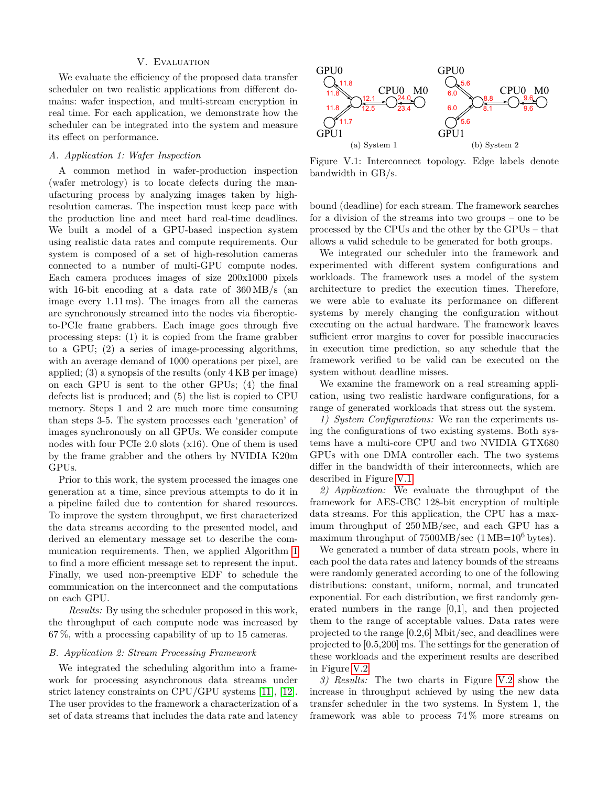#### V. Evaluation

<span id="page-6-0"></span>We evaluate the efficiency of the proposed data transfer scheduler on two realistic applications from different domains: wafer inspection, and multi-stream encryption in real time. For each application, we demonstrate how the scheduler can be integrated into the system and measure its effect on performance.

# *A. Application 1: Wafer Inspection*

A common method in wafer-production inspection (wafer metrology) is to locate defects during the manufacturing process by analyzing images taken by highresolution cameras. The inspection must keep pace with the production line and meet hard real-time deadlines. We built a model of a GPU-based inspection system using realistic data rates and compute requirements. Our system is composed of a set of high-resolution cameras connected to a number of multi-GPU compute nodes. Each camera produces images of size 200x1000 pixels with 16-bit encoding at a data rate of 360 MB/s (an image every 1.11 ms). The images from all the cameras are synchronously streamed into the nodes via fiberopticto-PCIe frame grabbers. Each image goes through five processing steps: (1) it is copied from the frame grabber to a GPU; (2) a series of image-processing algorithms, with an average demand of 1000 operations per pixel, are applied; (3) a synopsis of the results (only 4 KB per image) on each GPU is sent to the other GPUs; (4) the final defects list is produced; and (5) the list is copied to CPU memory. Steps 1 and 2 are much more time consuming than steps 3-5. The system processes each 'generation' of images synchronously on all GPUs. We consider compute nodes with four PCIe 2.0 slots (x16). One of them is used by the frame grabber and the others by NVIDIA K20m GPUs.

Prior to this work, the system processed the images one generation at a time, since previous attempts to do it in a pipeline failed due to contention for shared resources. To improve the system throughput, we first characterized the data streams according to the presented model, and derived an elementary message set to describe the communication requirements. Then, we applied Algorithm [1](#page-5-0) to find a more efficient message set to represent the input. Finally, we used non-preemptive EDF to schedule the communication on the interconnect and the computations on each GPU.

*Results:* By using the scheduler proposed in this work, the throughput of each compute node was increased by 67 %, with a processing capability of up to 15 cameras.

## *B. Application 2: Stream Processing Framework*

We integrated the scheduling algorithm into a framework for processing asynchronous data streams under strict latency constraints on CPU/GPU systems [\[11\]](#page-7-9), [\[12\]](#page-7-10). The user provides to the framework a characterization of a set of data streams that includes the data rate and latency

<span id="page-6-1"></span>

Figure V.1: Interconnect topology. Edge labels denote bandwidth in GB/s.

bound (deadline) for each stream. The framework searches for a division of the streams into two groups – one to be processed by the CPUs and the other by the GPUs – that allows a valid schedule to be generated for both groups.

We integrated our scheduler into the framework and experimented with different system configurations and workloads. The framework uses a model of the system architecture to predict the execution times. Therefore, we were able to evaluate its performance on different systems by merely changing the configuration without executing on the actual hardware. The framework leaves sufficient error margins to cover for possible inaccuracies in execution time prediction, so any schedule that the framework verified to be valid can be executed on the system without deadline misses.

We examine the framework on a real streaming application, using two realistic hardware configurations, for a range of generated workloads that stress out the system.

*1) System Configurations:* We ran the experiments using the configurations of two existing systems. Both systems have a multi-core CPU and two NVIDIA GTX680 GPUs with one DMA controller each. The two systems differ in the bandwidth of their interconnects, which are described in Figure [V.1.](#page-6-1)

*2) Application:* We evaluate the throughput of the framework for AES-CBC 128-bit encryption of multiple data streams. For this application, the CPU has a maximum throughput of 250 MB/sec, and each GPU has a maximum throughput of  $7500MB/sec$  (1 MB=10<sup>6</sup> bytes).

We generated a number of data stream pools, where in each pool the data rates and latency bounds of the streams were randomly generated according to one of the following distributions: constant, uniform, normal, and truncated exponential. For each distribution, we first randomly generated numbers in the range [0,1], and then projected them to the range of acceptable values. Data rates were projected to the range [0.2,6] Mbit/sec, and deadlines were projected to [0.5,200] ms. The settings for the generation of these workloads and the experiment results are described in Figure [V.2.](#page-7-15)

*3) Results:* The two charts in Figure [V.2](#page-7-15) show the increase in throughput achieved by using the new data transfer scheduler in the two systems. In System 1, the framework was able to process 74 % more streams on